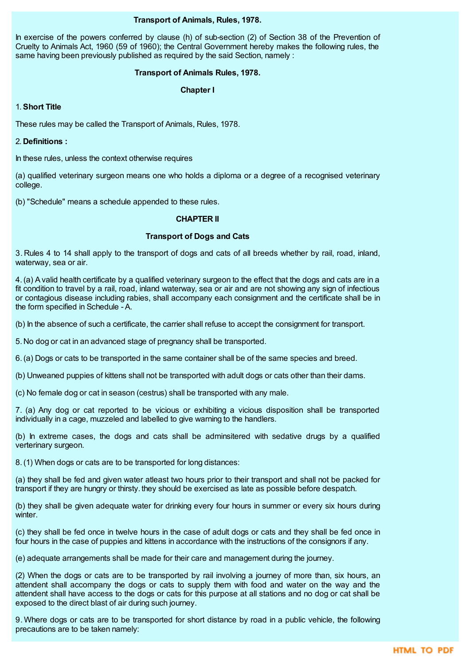## **Transport of Animals, Rules, 1978.**

In exercise of the powers conferred by clause (h) of sub-section (2) of Section 38 of the Prevention of Cruelty to Animals Act, 1960 (59 of 1960); the Central Government hereby makes the following rules, the same having been previously published as required by the said Section, namely :

### **Transport of Animals Rules, 1978.**

### **Chapter I**

### 1.**Short Title**

These rules may be called the Transport of Animals, Rules, 1978.

2. **Definitions :**

In these rules, unless the context otherwise requires

(a) qualified veterinary surgeon means one who holds a diploma or a degree of a recognised veterinary college.

(b) "Schedule" means a schedule appended to these rules.

### **CHAPTER II**

## **Transport of Dogs and Cats**

3. Rules 4 to 14 shall apply to the transport of dogs and cats of all breeds whether by rail, road, inland, waterway, sea or air.

4.(a) Avalid health certificate by a qualified veterinary surgeon to the effect that the dogs and cats are in a fit condition to travel by a rail, road, inland waterway, sea or air and are not showing any sign of infectious or contagious disease including rabies, shall accompany each consignment and the certificate shall be in the form specified in Schedule - A.

(b) In the absence of such a certificate, the carrier shall refuse to accept the consignment for transport.

5. No dog or cat in an advanced stage of pregnancy shall be transported.

6.(a) Dogs or cats to be transported in the same container shall be of the same species and breed.

(b) Unweaned puppies of kittens shall not be transported with adult dogs or cats other than their dams.

(c) No female dog or cat in season (cestrus) shall be transported with any male.

7. (a) Any dog or cat reported to be vicious or exhibiting a vicious disposition shall be transported individually in a cage, muzzeled and labelled to give warning to the handlers.

(b) In extreme cases, the dogs and cats shall be adminsitered with sedative drugs by a qualified verterinary surgeon.

8.(1) When dogs or cats are to be transported for long distances:

(a) they shall be fed and given water atleast two hours prior to their transport and shall not be packed for transport if they are hungry or thirsty. they should be exercised as late as possible before despatch.

(b) they shall be given adequate water for drinking every four hours in summer or every six hours during winter.

(c) they shall be fed once in twelve hours in the case of adult dogs or cats and they shall be fed once in four hours in the case of puppies and kittens in accordance with the instructions of the consignors if any.

(e) adequate arrangements shall be made for their care and management during the journey.

(2) When the dogs or cats are to be transported by rail involving a journey of more than, six hours, an attendent shall accompany the dogs or cats to supply them with food and water on the way and the attendent shall have access to the dogs or cats for this purpose at all stations and no dog or cat shall be exposed to the direct blast of air during such journey.

9. Where dogs or cats are to be transported for short distance by road in a public vehicle, the following precautions are to be taken namely: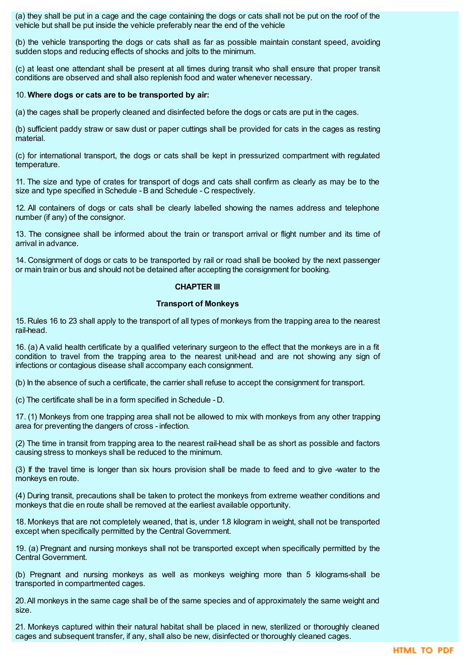(a) they shall be put in a cage and the cage containing the dogs or cats shall not be put on the roof of the vehicle but shall be put inside the vehicle preferably near the end of the vehicle

(b) the vehicle transporting the dogs or cats shall as far as possible maintain constant speed, avoiding sudden stops and reducing effects of shocks and jolts to the minimum.

(c) at least one attendant shall be present at all times during transit who shall ensure that proper transit conditions are observed and shall also replenish food and water whenever necessary.

#### 10. **Where dogs or cats are to be transported by air:**

(a) the cages shall be properly cleaned and disinfected before the dogs or cats are put in the cages.

(b) sufficient paddy straw or saw dust or paper cuttings shall be provided for cats in the cages as resting material.

(c) for international transport, the dogs or cats shall be kept in pressurized compartment with regulated temperature.

11. The size and type of crates for transport of dogs and cats shall confirm as clearly as may be to the size and type specified in Schedule - B and Schedule - C respectively.

12. All containers of dogs or cats shall be clearly labelled showing the names address and telephone number (if any) of the consignor.

13. The consignee shall be informed about the train or transport arrival or flight number and its time of arrival in advance.

14. Consignment of dogs or cats to be transported by rail or road shall be booked by the next passenger or main train or bus and should not be detained after accepting the consignment for booking.

#### **CHAPTER III**

### **Transport of Monkeys**

15. Rules 16 to 23 shall apply to the transport of all types of monkeys from the trapping area to the nearest rail-head.

16. (a) A valid health certificate by a qualified veterinary surgeon to the effect that the monkeys are in a fit condition to travel from the trapping area to the nearest unit-head and are not showing any sign of infections or contagious disease shall accompany each consignment.

(b) In the absence of such a certificate, the carrier shall refuse to accept the consignment for transport.

(c) The certificate shall be in a form specified in Schedule - D.

17. (1) Monkeys from one trapping area shall not be allowed to mix with monkeys from any other trapping area for preventing the dangers of cross - infection.

(2) The time in transit from trapping area to the nearest rail-head shall be as short as possible and factors causing stress to monkeys shall be reduced to the minimum.

(3) If the travel time is longer than six hours provision shall be made to feed and to give -water to the monkeys en route.

(4) During transit, precautions shall be taken to protect the monkeys from extreme weather conditions and monkeys that die en route shall be removed at the earliest available opportunity.

18. Monkeys that are not completely weaned, that is, under 1.8 kilogram in weight, shall not be transported except when specifically permitted by the Central Government.

19. (a) Pregnant and nursing monkeys shall not be transported except when specifically permitted by the Central Government.

(b) Pregnant and nursing monkeys as well as monkeys weighing more than 5 kilograms-shall be transported in compartmented cages.

20.All monkeys in the same cage shall be of the same species and of approximately the same weight and size.

21. Monkeys captured within their natural habitat shall be placed in new, sterilized or thoroughly cleaned cages and subsequent transfer, if any, shall also be new, disinfected or thoroughly cleaned cages.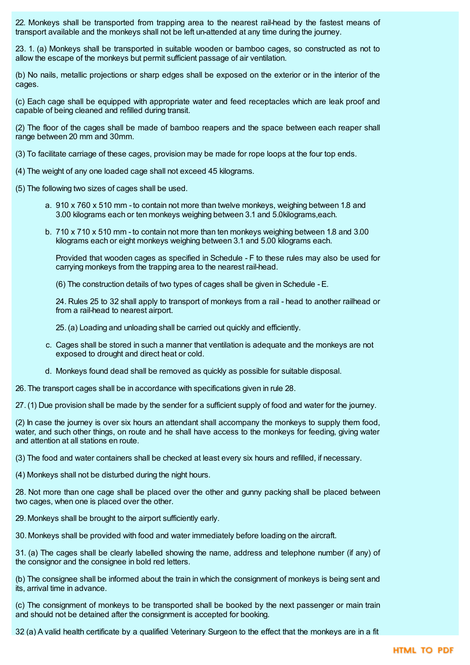22. Monkeys shall be transported from trapping area to the nearest rail-head by the fastest means of transport available and the monkeys shall not be left un-attended at any time during the journey.

23. 1. (a) Monkeys shall be transported in suitable wooden or bamboo cages, so constructed as not to allow the escape of the monkeys but permit sufficient passage of air ventilation.

(b) No nails, metallic projections or sharp edges shall be exposed on the exterior or in the interior of the cages.

(c) Each cage shall be equipped with appropriate water and feed receptacles which are leak proof and capable of being cleaned and refilled during transit.

(2) The floor of the cages shall be made of bamboo reapers and the space between each reaper shall range between 20 mm and 30mm.

(3) To facilitate carriage of these cages, provision may be made for rope loops at the four top ends.

(4) The weight of any one loaded cage shall not exceed 45 kilograms.

(5) The following two sizes of cages shall be used.

- a. 910 x 760 x 510 mm to contain not more than twelve monkeys, weighing between 1.8 and 3.00 kilograms each or ten monkeys weighing between 3.1 and 5.0kilograms,each.
- b. 710 x 710 x 510 mm to contain not more than ten monkeys weighing between 1.8 and 3.00 kilograms each or eight monkeys weighing between 3.1 and 5.00 kilograms each.

Provided that wooden cages as specified in Schedule - F to these rules may also be used for carrying monkeys from the trapping area to the nearest rail-head.

(6) The construction details of two types of cages shall be given in Schedule - E.

24. Rules 25 to 32 shall apply to transport of monkeys from a rail - head to another railhead or from a rail-head to nearest airport.

25.(a) Loading and unloading shall be carried out quickly and efficiently.

- c. Cages shall be stored in such a manner that ventilation is adequate and the monkeys are not exposed to drought and direct heat or cold.
- d. Monkeys found dead shall be removed as quickly as possible for suitable disposal.

26. The transport cages shall be in accordance with specifications given in rule 28.

27.(1) Due provision shall be made by the sender for a sufficient supply of food and water for the journey.

(2) In case the journey is over six hours an attendant shall accompany the monkeys to supply them food, water, and such other things, on route and he shall have access to the monkeys for feeding, giving water and attention at all stations en route.

(3) The food and water containers shall be checked at least every six hours and refilled, if necessary.

(4) Monkeys shall not be disturbed during the night hours.

28. Not more than one cage shall be placed over the other and gunny packing shall be placed between two cages, when one is placed over the other.

29. Monkeys shall be brought to the airport sufficiently early.

30. Monkeys shall be provided with food and water immediately before loading on the aircraft.

31. (a) The cages shall be clearly labelled showing the name, address and telephone number (if any) of the consignor and the consignee in bold red letters.

(b) The consignee shall be informed about the train in which the consignment of monkeys is being sent and its, arrival time in advance.

(c) The consignment of monkeys to be transported shall be booked by the next passenger or main train and should not be detained after the consignment is accepted for booking.

32 (a) A valid health certificate by a qualified Veterinary Surgeon to the effect that the monkeys are in a fit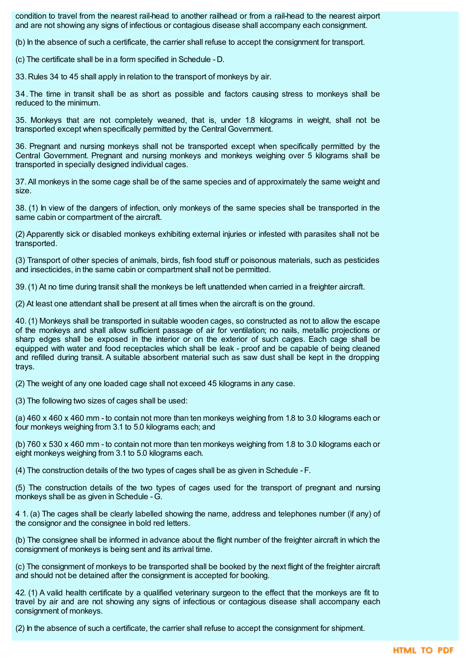condition to travel from the nearest rail-head to another railhead or from a rail-head to the nearest airport and are not showing any signs of infectious or contagious disease shall accompany each consignment.

(b) In the absence of such a certificate, the carrier shall refuse to accept the consignment for transport.

(c) The certificate shall be in a form specified in Schedule - D.

33. Rules 34 to 45 shall apply in relation to the transport of monkeys by air.

34. The time in transit shall be as short as possible and factors causing stress to monkeys shall be reduced to the minimum.

35. Monkeys that are not completely weaned, that is, under 1.8 kilograms in weight, shall not be transported except when specifically permitted by the Central Government.

36. Pregnant and nursing monkeys shall not be transported except when specifically permitted by the Central Government. Pregnant and nursing monkeys and monkeys weighing over 5 kilograms shall be transported in specially designed individual cages.

37.All monkeys in the some cage shall be of the same species and of approximately the same weight and size.

38. (1) In view of the dangers of infection, only monkeys of the same species shall be transported in the same cabin or compartment of the aircraft.

(2) Apparently sick or disabled monkeys exhibiting external injuries or infested with parasites shall not be transported.

(3) Transport of other species of animals, birds, fish food stuff or poisonous materials, such as pesticides and insecticides, in the same cabin or compartment shall not be permitted.

39.(1) At no time during transit shall the monkeys be left unattended when carried in a freighter aircraft.

(2) At least one attendant shall be present at all times when the aircraft is on the ground.

40. (1) Monkeys shall be transported in suitable wooden cages, so constructed as not to allow the escape of the monkeys and shall allow sufficient passage of air for ventilation; no nails, metallic projections or sharp edges shall be exposed in the interior or on the exterior of such cages. Each cage shall be equipped with water and food receptacles which shall be leak - proof and be capable of being cleaned and refilled during transit. A suitable absorbent material such as saw dust shall be kept in the dropping trays.

(2) The weight of any one loaded cage shall not exceed 45 kilograms in any case.

(3) The following two sizes of cages shall be used:

(a) 460 x 460 x 460 mm - to contain not more than ten monkeys weighing from 1.8 to 3.0 kilograms each or four monkeys weighing from 3.1 to 5.0 kilograms each; and

(b) 760 x 530 x 460 mm - to contain not more than ten monkeys weighing from 1.8 to 3.0 kilograms each or eight monkeys weighing from 3.1 to 5.0 kilograms each.

(4) The construction details of the two types of cages shall be as given in Schedule - F.

(5) The construction details of the two types of cages used for the transport of pregnant and nursing monkeys shall be as given in Schedule - G.

4 1. (a) The cages shall be clearly labelled showing the name, address and telephones number (if any) of the consignor and the consignee in bold red letters.

(b) The consignee shall be informed in advance about the flight number of the freighter aircraft in which the consignment of monkeys is being sent and its arrival time.

(c) The consignment of monkeys to be transported shall be booked by the next flight of the freighter aircraft and should not be detained after the consignment is accepted for booking.

42. (1) A valid health certificate by a qualified veterinary surgeon to the effect that the monkeys are fit to travel by air and are not showing any signs of infectious or contagious disease shall accompany each consignment of monkeys.

(2) In the absence of such a certificate, the carrier shall refuse to accept the consignment for shipment.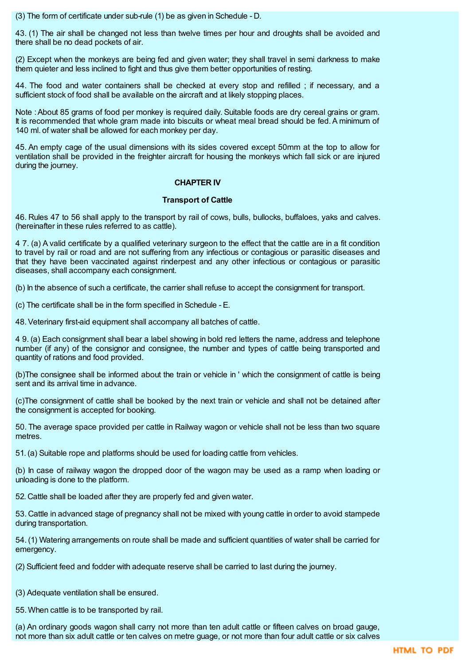(3) The form of certificate under sub-rule (1) be as given in Schedule - D.

43. (1) The air shall be changed not less than twelve times per hour and droughts shall be avoided and there shall be no dead pockets of air.

(2) Except when the monkeys are being fed and given water; they shall travel in semi darkness to make them quieter and less inclined to fight and thus give them better opportunities of resting.

44. The food and water containers shall be checked at every stop and refilled ; if necessary, and a sufficient stock of food shall be available on the aircraft and at likely stopping places.

Note :About 85 grams of food per monkey is required daily. Suitable foods are dry cereal grains or gram. It is recommended that whole gram made into biscuits or wheat meal bread should be fed. A minimum of 140 ml. of water shall be allowed for each monkey per day.

45. An empty cage of the usual dimensions with its sides covered except 50mm at the top to allow for ventilation shall be provided in the freighter aircraft for housing the monkeys which fall sick or are injured during the journey.

## **CHAPTER IV**

## **Transport of Cattle**

46. Rules 47 to 56 shall apply to the transport by rail of cows, bulls, bullocks, buffaloes, yaks and calves. (hereinafter in these rules referred to as cattle).

4 7. (a) A valid certificate by a qualified veterinary surgeon to the effect that the cattle are in a fit condition to travel by rail or road and are not suffering from any infectious or contagious or parasitic diseases and that they have been vaccinated against rinderpest and any other infectious or contagious or parasitic diseases, shall accompany each consignment.

(b) In the absence of such a certificate, the carrier shall refuse to accept the consignment for transport.

(c) The certificate shall be in the form specified in Schedule - E.

48.Veterinary first-aid equipment shall accompany all batches of cattle.

4 9. (a) Each consignment shall bear a label showing in bold red letters the name, address and telephone number (if any) of the consignor and consignee, the number and types of cattle being transported and quantity of rations and food provided.

(b)The consignee shall be informed about the train or vehicle in ' which the consignment of cattle is being sent and its arrival time in advance.

(c)The consignment of cattle shall be booked by the next train or vehicle and shall not be detained after the consignment is accepted for booking.

50. The average space provided per cattle in Railway wagon or vehicle shall not be less than two square metres.

51.(a) Suitable rope and platforms should be used for loading cattle from vehicles.

(b) In case of railway wagon the dropped door of the wagon may be used as a ramp when loading or unloading is done to the platform.

52. Cattle shall be loaded after they are properly fed and given water.

53. Cattle in advanced stage of pregnancy shall not be mixed with young cattle in order to avoid stampede during transportation.

54. (1) Watering arrangements on route shall be made and sufficient quantities of water shall be carried for emergency.

(2) Sufficient feed and fodder with adequate reserve shall be carried to last during the journey.

(3) Adequate ventilation shall be ensured.

55. When cattle is to be transported by rail.

(a) An ordinary goods wagon shall carry not more than ten adult cattle or fifteen calves on broad gauge, not more than six adult cattle or ten calves on metre guage, or not more than four adult cattle or six calves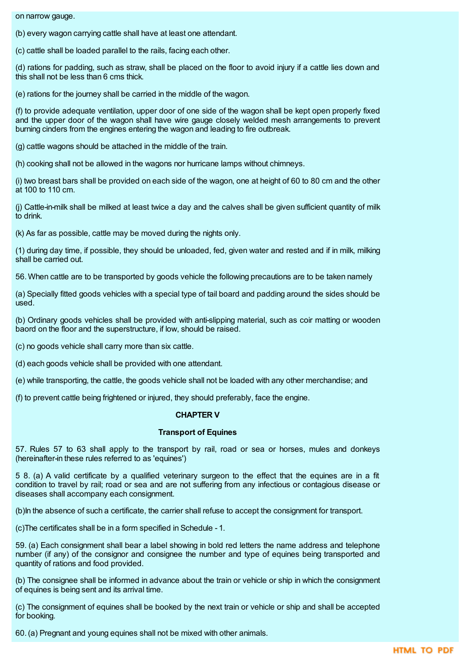on narrow gauge.

(b) every wagon carrying cattle shall have at least one attendant.

(c) cattle shall be loaded parallel to the rails, facing each other.

(d) rations for padding, such as straw, shall be placed on the floor to avoid injury if a cattle lies down and this shall not be less than 6 cms thick.

(e) rations for the journey shall be carried in the middle of the wagon.

(f) to provide adequate ventilation, upper door of one side of the wagon shall be kept open properly fixed and the upper door of the wagon shall have wire gauge closely welded mesh arrangements to prevent burning cinders from the engines entering the wagon and leading to fire outbreak.

(g) cattle wagons should be attached in the middle of the train.

(h) cooking shall not be allowed in the wagons nor hurricane lamps without chimneys.

(i) two breast bars shall be provided on each side of the wagon, one at height of 60 to 80 cm and the other at 100 to 110 cm.

(j) Cattle-in-milk shall be milked at least twice a day and the calves shall be given sufficient quantity of milk to drink.

(k) As far as possible, cattle may be moved during the nights only.

(1) during day time, if possible, they should be unloaded, fed, given water and rested and if in milk, milking shall be carried out.

56. When cattle are to be transported by goods vehicle the following precautions are to be taken namely

(a) Specially fitted goods vehicles with a special type of tail board and padding around the sides should be used.

(b) Ordinary goods vehicles shall be provided with anti-slipping material, such as coir matting or wooden baord on the floor and the superstructure, if low, should be raised.

(c) no goods vehicle shall carry more than six cattle.

(d) each goods vehicle shall be provided with one attendant.

(e) while transporting, the cattle, the goods vehicle shall not be loaded with any other merchandise; and

(f) to prevent cattle being frightened or injured, they should preferably, face the engine.

## **CHAPTER V**

#### **Transport of Equines**

57. Rules 57 to 63 shall apply to the transport by rail, road or sea or horses, mules and donkeys (hereinafter-in these rules referred to as 'equines')

5 8. (a) A valid certificate by a qualified veterinary surgeon to the effect that the equines are in a fit condition to travel by rail; road or sea and are not suffering from any infectious or contagious disease or diseases shall accompany each consignment.

(b)In the absence of such a certificate, the carrier shall refuse to accept the consignment for transport.

(c)The certificates shall be in a form specified in Schedule - 1.

59. (a) Each consignment shall bear a label showing in bold red letters the name address and telephone number (if any) of the consignor and consignee the number and type of equines being transported and quantity of rations and food provided.

(b) The consignee shall be informed in advance about the train or vehicle or ship in which the consignment of equines is being sent and its arrival time.

(c) The consignment of equines shall be booked by the next train or vehicle or ship and shall be accepted for booking.

60.(a) Pregnant and young equines shall not be mixed with other animals.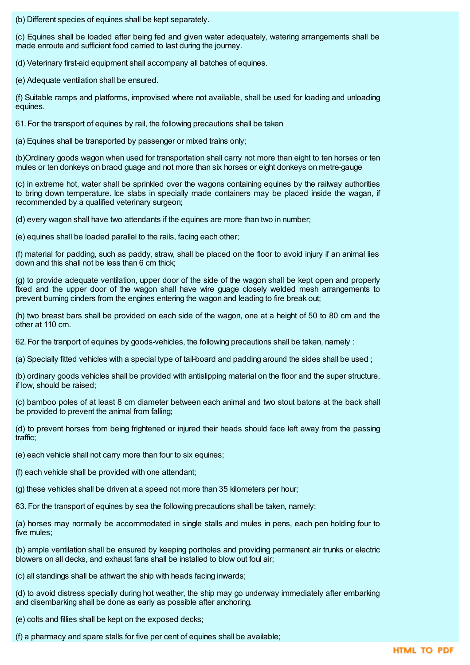(b) Different species of equines shall be kept separately.

(c) Equines shall be loaded after being fed and given water adequately, watering arrangements shall be made enroute and sufficient food carried to last during the journey.

(d) Veterinary first-aid equipment shall accompany all batches of equines.

(e) Adequate ventilation shall be ensured.

(f) Suitable ramps and platforms, improvised where not available, shall be used for loading and unloading equines.

61. For the transport of equines by rail, the following precautions shall be taken

(a) Equines shall be transported by passenger or mixed trains only;

(b)Ordinary goods wagon when used for transportation shall carry not more than eight to ten horses or ten mules or ten donkeys on braod guage and not more than six horses or eight donkeys on metre-gauge

(c) in extreme hot, water shall be sprinkled over the wagons containing equines by the railway authorities to bring down temperature. Ice slabs in specially made containers may be placed inside the wagan, if recommended by a qualified veterinary surgeon;

(d) every wagon shall have two attendants if the equines are more than two in number;

(e) equines shall be loaded parallel to the rails, facing each other;

(f) material for padding, such as paddy, straw, shall be placed on the floor to avoid injury if an animal lies down and this shall not be less than 6 cm thick;

(g) to provide adequate ventilation, upper door of the side of the wagon shall be kept open and properly fixed and the upper door of the wagon shall have wire guage closely welded mesh arrangements to prevent burning cinders from the engines entering the wagon and leading to fire break out;

(h) two breast bars shall be provided on each side of the wagon, one at a height of 50 to 80 cm and the other at 110 cm.

62. For the tranport of equines by goods-vehicles, the following precautions shall be taken, namely :

(a) Specially fitted vehicles with a special type of tail-board and padding around the sides shall be used ;

(b) ordinary goods vehicles shall be provided with antislipping material on the floor and the super structure, if low, should be raised;

(c) bamboo poles of at least 8 cm diameter between each animal and two stout batons at the back shall be provided to prevent the animal from falling;

(d) to prevent horses from being frightened or injured their heads should face left away from the passing traffic;

(e) each vehicle shall not carry more than four to six equines;

(f) each vehicle shall be provided with one attendant;

(g) these vehicles shall be driven at a speed not more than 35 kilometers per hour;

63. For the transport of equines by sea the following precautions shall be taken, namely:

(a) horses may normally be accommodated in single stalls and mules in pens, each pen holding four to five mules;

(b) ample ventilation shall be ensured by keeping portholes and providing permanent air trunks or electric blowers on all decks, and exhaust fans shall be installed to blow out foul air;

(c) all standings shall be athwart the ship with heads facing inwards;

(d) to avoid distress specially during hot weather, the ship may go underway immediately after embarking and disembarking shall be done as early as possible after anchoring.

(e) colts and fillies shall be kept on the exposed decks;

(f) a pharmacy and spare stalls for five per cent of equines shall be available;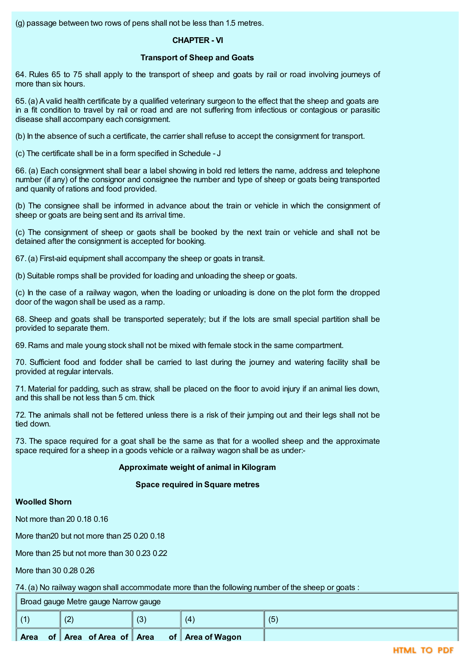(g) passage between two rows of pens shall not be less than 1.5 metres.

# **CHAPTER - VI**

## **Transport of Sheep and Goats**

64. Rules 65 to 75 shall apply to the transport of sheep and goats by rail or road involving journeys of more than six hours.

65. (a) Avalid health certificate by a qualified veterinary surgeon to the effect that the sheep and goats are in a fit condition to travel by rail or road and are not suffering from infectious or contagious or parasitic disease shall accompany each consignment.

(b) In the absence of such a certificate, the carrier shall refuse to accept the consignment for transport.

(c) The certificate shall be in a form specified in Schedule - J

66. (a) Each consignment shall bear a label showing in bold red letters the name, address and telephone number (if any) of the consignor and consignee the number and type of sheep or goats being transported and quanity of rations and food provided.

(b) The consignee shall be informed in advance about the train or vehicle in which the consignment of sheep or goats are being sent and its arrival time.

(c) The consignment of sheep or gaots shall be booked by the next train or vehicle and shall not be detained after the consignment is accepted for booking.

67.(a) First-aid equipment shall accompany the sheep or goats in transit.

(b) Suitable romps shall be provided for loading and unloading the sheep or goats.

(c) In the case of a railway wagon, when the loading or unloading is done on the plot form the dropped door of the wagon shall be used as a ramp.

68. Sheep and goats shall be transported seperately; but if the lots are small special partition shall be provided to separate them.

69. Rams and male young stock shall not be mixed with female stock in the same compartment.

70. Sufficient food and fodder shall be carried to last during the journey and watering facility shall be provided at regular intervals.

71. Material for padding, such as straw, shall be placed on the floor to avoid injury if an animal lies down, and this shall be not less than 5 cm. thick

72. The animals shall not be fettered unless there is a risk of their jumping out and their legs shall not be tied down.

73. The space required for a goat shall be the same as that for a woolled sheep and the approximate space required for a sheep in a goods vehicle or a railway wagon shall be as under:-

# **Approximate weight of animal in Kilogram**

## **Space required in Square metres**

## **Woolled Shorn**

Not more than 20 0.18 0.16

More than20 but not more than 25 0.20 0.18

More than 25 but not more than 30 0.23 0.22

More than 30 0.28 0.26

74.(a) No railway wagon shall accommodate more than the following number of the sheep or goats :

Broad gauge Metre gauge Narrow gauge

|            | Area | of   Area of Area of   Area |                  | of Area of Wagon |     |
|------------|------|-----------------------------|------------------|------------------|-----|
| $\sqrt{4}$ |      | $\Omega$<br>14              | $\sqrt{2}$<br>ιv | 14               | (5) |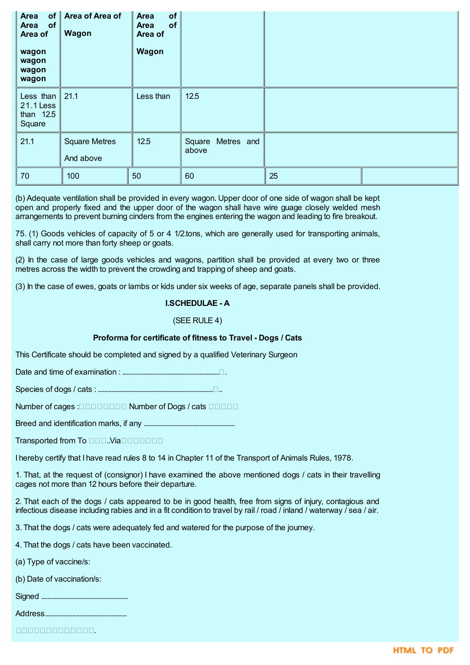| <b>Area</b><br>of<br>Area<br><b>of</b><br>Area of | Area of Area of<br>Wagon          | of<br><b>Area</b><br>of<br>Area<br>Area of |                            |    |  |
|---------------------------------------------------|-----------------------------------|--------------------------------------------|----------------------------|----|--|
| wagon<br>wagon<br>wagon<br>wagon                  |                                   | Wagon                                      |                            |    |  |
| Less than<br>21.1 Less<br>than 12.5<br>Square     | 21.1                              | Less than                                  | 12.5                       |    |  |
| 21.1                                              | <b>Square Metres</b><br>And above | 12.5                                       | Square Metres and<br>above |    |  |
| 70                                                | 100                               | 50                                         | 60                         | 25 |  |

(b) Adequate ventilation shall be provided in every wagon. Upper door of one side of wagon shall be kept open and properly fixed and the upper door of the wagon shall have wire guage closely welded mesh arrangements to prevent burning cinders from the engines entering the wagon and leading to fire breakout.

75. (1) Goods vehicles of capacity of 5 or 4 1/2.tons, which are generally used for transporting animals, shall carry not more than forty sheep or goats.

(2) In the case of large goods vehicles and wagons, partition shall be provided at every two or three metres across the width to prevent the crowding and trapping of sheep and goats.

(3) In the case of ewes, goats or lambs or kids under six weeks of age, separate panels shall be provided.

### **I.SCHEDULAE - A**

### (SEE RULE 4)

## **Proforma for certificate of fitness to Travel - Dogs / Cats**

This Certificate should be completed and signed by a qualified Veterinary Surgeon

Date and time of examination : .................................................................

Species of dogs / cats : ..............................................................................

Number of cages : **Number of Dogs / cats Number of Dogs / cats** 

Breed and identification marks, if any ............................................................

Transported from To **DOD.** Via **DODDDD** 

I hereby certify that I have read rules 8 to 14 in Chapter 11 of the Transport of Animals Rules, 1978.

1. That, at the request of (consignor) I have examined the above mentioned dogs / cats in their travelling cages not more than 12 hours before their departure.

2. That each of the dogs / cats appeared to be in good health, free from signs of injury, contagious and infectious disease including rabies and in a fit condition to travel by rail / road / inland / waterway / sea / air.

3. That the dogs / cats were adequately fed and watered for the purpose of the journey.

4. That the dogs / cats have been vaccinated.

(a) Type of vaccine/s:

(b) Date of vaccination/s:

Signed .........................................................

Address......................................................

0000000000000.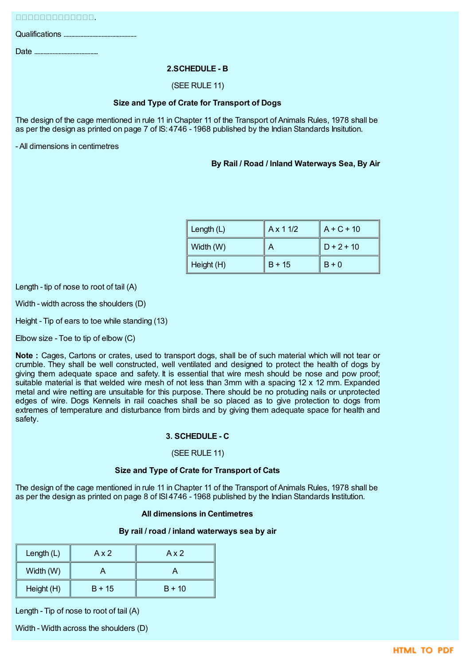Qualifications ................................................

Date ..........................................

## **2.SCHEDULE - B**

## (SEE RULE 11)

## **Size and Type of Crate for Transport of Dogs**

The design of the cage mentioned in rule 11 in Chapter 11 of the Transport of Animals Rules, 1978 shall be as per the design as printed on page 7 of IS: 4746 - 1968 published by the Indian Standards Insitution.

- All dimensions in centimetres

## **By Rail / Road / Inland Waterways Sea, By Air**

| Length $(L)$ | Ax 11/2  | $A + C + 10$ |
|--------------|----------|--------------|
| Width (W)    |          | $D + 2 + 10$ |
| Height (H)   | $B + 15$ | $B + 0$      |

Length - tip of nose to root of tail (A)

Width - width across the shoulders (D)

Height - Tip of ears to toe while standing (13)

Elbow size - Toe to tip of elbow (C)

**Note :** Cages, Cartons or crates, used to transport dogs, shall be of such material which will not tear or crumble. They shall be well constructed, well ventilated and designed to protect the health of dogs by giving them adequate space and safety. It is essential that wire mesh should be nose and pow proof; suitable material is that welded wire mesh of not less than 3mm with a spacing 12 x 12 mm. Expanded metal and wire netting are unsuitable for this purpose. There should be no protuding nails or unprotected edges of wire. Dogs Kennels in rail coaches shall be so placed as to give protection to dogs from extremes of temperature and disturbance from birds and by giving them adequate space for health and safety.

## **3. SCHEDULE - C**

## (SEE RULE 11)

## **Size and Type of Crate for Transport of Cats**

The design of the cage mentioned in rule 11 in Chapter 11 of the Transport of Animals Rules, 1978 shall be as per the design as printed on page 8 of ISI 4746 - 1968 published by the Indian Standards Institution.

## **All dimensions in Centimetres**

## **By rail / road / inland waterways sea by air**

| Length (L) | Ax2      | Ax2      |  |  |  |
|------------|----------|----------|--|--|--|
| Width (W)  |          |          |  |  |  |
| Height (H) | $B + 15$ | $B + 10$ |  |  |  |

Length - Tip of nose to root of tail (A)

Width - Width across the shoulders (D)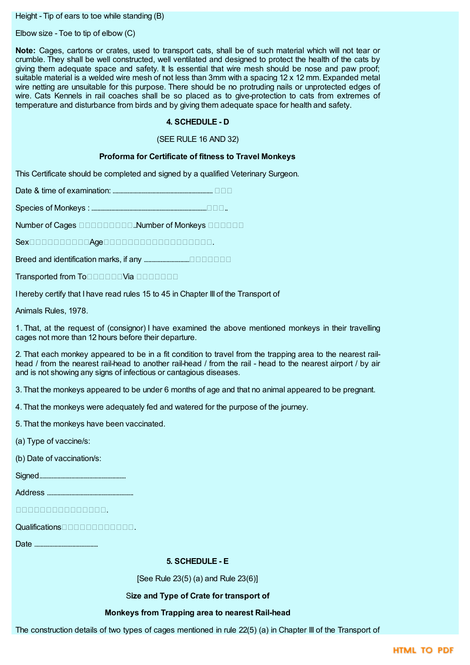Height - Tip of ears to toe while standing (B)

Elbow size - Toe to tip of elbow (C)

**Note:** Cages, cartons or crates, used to transport cats, shall be of such material which will not tear or crumble. They shall be well constructed, well ventilated and designed to protect the health of the cats by giving them adequate space and safety. It Is essential that wire mesh should be nose and paw proof; suitable material is a welded wire mesh of not less than 3mm with a spacing 12 x 12 mm. Expanded metal wire netting are unsuitable for this purpose. There should be no protruding nails or unprotected edges of wire. Cats Kennels in rail coaches shall be so placed as to give-protection to cats from extremes of temperature and disturbance from birds and by giving them adequate space for health and safety.

# **4. SCHEDULE - D**

## (SEE RULE 16 AND 32)

## **Proforma for Certificate of fitness to Travel Monkeys**

This Certificate should be completed and signed by a qualified Veterinary Surgeon.

Date & time of examination: ..................................................................

Species of Monkeys : ..............................................................................

Number of Cages **DOODDOOD**.Number of Monkeys **DOODDOO** 

 $Sex\square$ 

Breed and identification marks, if any ..............................

 $Transported$  from  $To$ 

I hereby certify that I have read rules 15 to 45 in Chapter III of the Transport of

Animals Rules, 1978.

1. That, at the request of (consignor) I have examined the above mentioned monkeys in their travelling cages not more than 12 hours before their departure.

2. That each monkey appeared to be in a fit condition to travel from the trapping area to the nearest railhead / from the nearest rail-head to another rail-head / from the rail - head to the nearest airport / by air and is not showing any signs of infectious or cantagious diseases.

3. That the monkeys appeared to be under 6 months of age and that no animal appeared to be pregnant.

4. That the monkeys were adequately fed and watered for the purpose of the journey.

5. That the monkeys have been vaccinated.

(a) Type of vaccine/s:

(b) Date of vaccination/s:

Signed.........................................................

Address .........................................................

.

Qualifications.

Date ..........................................

## **5. SCHEDULE - E**

[See Rule 23(5) (a) and Rule 23(6)]

## S**ize and Type of Crate for transport of**

# **Monkeys from Trapping area to nearest Rail-head**

The construction details of two types of cages mentioned in rule 22(5) (a) in Chapter III of the Transport of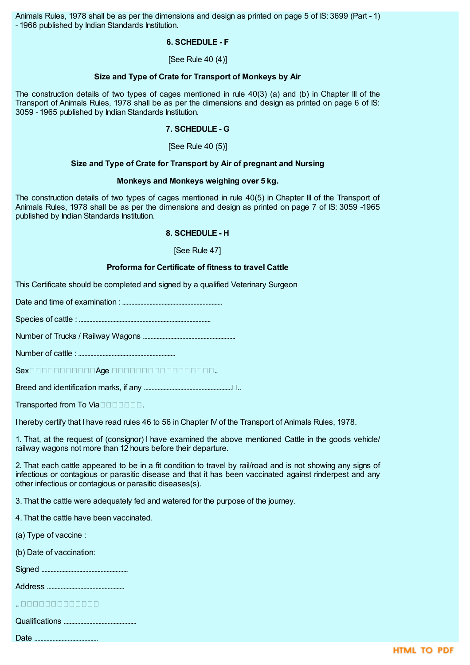Animals Rules, 1978 shall be as per the dimensions and design as printed on page 5 of IS: 3699 (Part - 1) - 1966 published by Indian Standards Institution.

### **6. SCHEDULE - F**

[See Rule 40 (4)]

### **Size and Type of Crate for Transport of Monkeys by Air**

The construction details of two types of cages mentioned in rule 40(3) (a) and (b) in Chapter III of the Transport of Animals Rules, 1978 shall be as per the dimensions and design as printed on page 6 of IS: 3059 - 1965 published by Indian Standards Institution.

# **7. SCHEDULE - G**

[See Rule 40 (5)]

### **Size and Type of Crate for Transport by Air of pregnant and Nursing**

### **Monkeys and Monkeys weighing over 5 kg.**

The construction details of two types of cages mentioned in rule 40(5) in Chapter III of the Transport of Animals Rules, 1978 shall be as per the dimensions and design as printed on page 7 of IS: 3059 -1965 published by Indian Standards Institution.

### **8. SCHEDULE - H**

[See Rule 47]

### **Proforma for Certificate of fitness to travel Cattle**

This Certificate should be completed and signed by a qualified Veterinary Surgeon

Date and time of examination : ..................................................................

Species of cattle : .......................................................................................

Number of Trucks / Railway Wagons .............................................................

Number of cattle : ................................................................

 $Sex$ 

Breed and identification marks, if any ............................................................

Transported from To Viannum  $\Box$ 

I hereby certify that I have read rules 46 to 56 in Chapter IV of the Transport of Animals Rules, 1978.

1. That, at the request of (consignor) I have examined the above mentioned Cattle in the goods vehicle/ railway wagons not more than 12 hours before their departure.

2. That each cattle appeared to be in a fit condition to travel by rail/road and is not showing any signs of infectious or contagious or parasitic disease and that it has been vaccinated against rinderpest and any other infectious or contagious or parasitic diseases(s).

3. That the cattle were adequately fed and watered for the purpose of the journey.

- 4. That the cattle have been vaccinated.
- (a) Type of vaccine :
- (b) Date of vaccination:

Signed .........................................................

Address ...................................................

| <u>اه زه زه زه زه زه زه زه زه زه زه زه به .</u> |  |  |  |  |  |  |  |
|-------------------------------------------------|--|--|--|--|--|--|--|
|                                                 |  |  |  |  |  |  |  |

Qualifications ................................................

Date ..........................................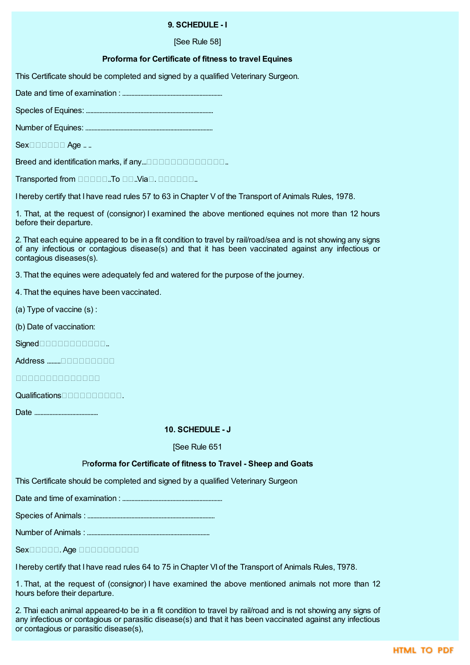## **9. SCHEDULE - I**

[See Rule 58]

## **Proforma for Certificate of fitness to travel Equines**

This Certificate should be completed and signed by a qualified Veterinary Surgeon.

Date and time of examination : ..................................................................

Specles of Equines: ....................................................................................

Number of Equines: ....................................................................................

 $Sex$  $\Box$  $\Box$  $\Box$  $\Box$  $\Box$  $A$ ae ...

Breed and identification marks, if any.....

Transported from  $\square \square \square \square \square \square$ . Via $\square$ .  $\square \square \square \square \square \square$ .

I hereby certify that I have read rules 57 to 63 in Chapter V of the Transport of Animals Rules, 1978.

1. That, at the request of (consignor) I examined the above mentioned equines not more than 12 hours before their departure.

2. That each equine appeared to be in a fit condition to travel by rail/road/sea and is not showing any signs of any infectious or contagious disease(s) and that it has been vaccinated against any infectious or contagious diseases(s).

3. That the equines were adequately fed and watered for the purpose of the journey.

- 4. That the equines have been vaccinated.
- (a) Type of vaccine (s) :
- (b) Date of vaccination:
- Signed..

Address .........

<u>mananananan a</u>

Qualifications.

Date ..........................................

### **10. SCHEDULE - J**

#### [See Rule 651

## Pr**oforma for Certificate of fitness to Travel - Sheep and Goats**

This Certificate should be completed and signed by a qualified Veterinary Surgeon

Date and time of examination : ..................................................................

Species of Animals : ....................................................................................

Number of Animals : .................................................................................

Sex<sup>1</sup>0000. Age 0000000000

I hereby certify that I have read rules 64 to 75 in Chapter VI of the Transport of Animals Rules, T978.

1. That, at the request of (consignor) I have examined the above mentioned animals not more than 12 hours before their departure.

2. Thai each animal appeared-to be in a fit condition to travel by rail/road and is not showing any signs of any infectious or contagious or parasitic disease(s) and that it has been vaccinated against any infectious or contagious or parasitic disease(s),